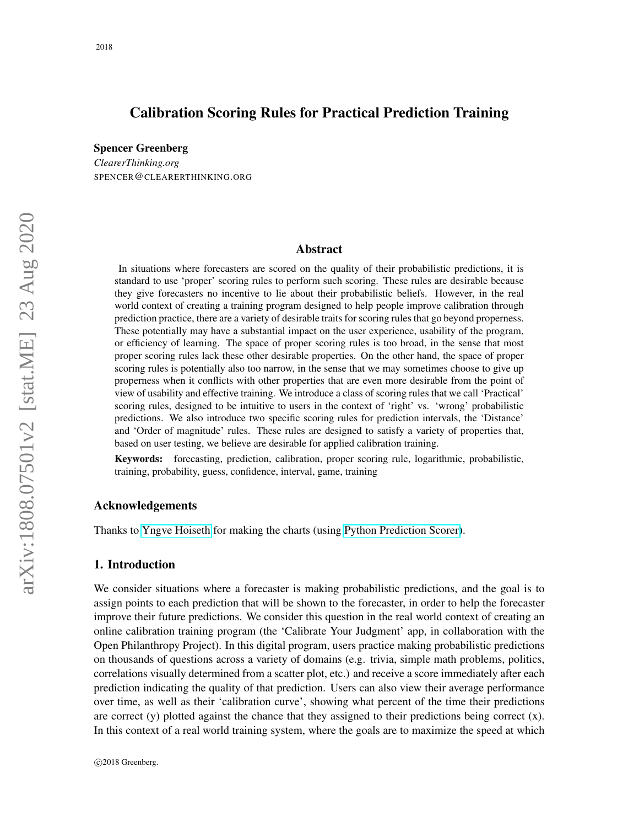# Calibration Scoring Rules for Practical Prediction Training

Spencer Greenberg

*ClearerThinking.org* SPENCER@CLEARERTHINKING.ORG

## Abstract

In situations where forecasters are scored on the quality of their probabilistic predictions, it is standard to use 'proper' scoring rules to perform such scoring. These rules are desirable because they give forecasters no incentive to lie about their probabilistic beliefs. However, in the real world context of creating a training program designed to help people improve calibration through prediction practice, there are a variety of desirable traits for scoring rules that go beyond properness. These potentially may have a substantial impact on the user experience, usability of the program, or efficiency of learning. The space of proper scoring rules is too broad, in the sense that most proper scoring rules lack these other desirable properties. On the other hand, the space of proper scoring rules is potentially also too narrow, in the sense that we may sometimes choose to give up properness when it conflicts with other properties that are even more desirable from the point of view of usability and effective training. We introduce a class of scoring rules that we call 'Practical' scoring rules, designed to be intuitive to users in the context of 'right' vs. 'wrong' probabilistic predictions. We also introduce two specific scoring rules for prediction intervals, the 'Distance' and 'Order of magnitude' rules. These rules are designed to satisfy a variety of properties that, based on user testing, we believe are desirable for applied calibration training.

Keywords: forecasting, prediction, calibration, proper scoring rule, logarithmic, probabilistic, training, probability, guess, confidence, interval, game, training

### Acknowledgements

Thanks to [Yngve Hoiseth](https://yngve.hoiseth.net) for making the charts (using [Python Prediction Scorer\)](https://github.com/yhoiseth/python-prediction-scorer).

#### 1. Introduction

We consider situations where a forecaster is making probabilistic predictions, and the goal is to assign points to each prediction that will be shown to the forecaster, in order to help the forecaster improve their future predictions. We consider this question in the real world context of creating an online calibration training program (the 'Calibrate Your Judgment' app, in collaboration with the Open Philanthropy Project). In this digital program, users practice making probabilistic predictions on thousands of questions across a variety of domains (e.g. trivia, simple math problems, politics, correlations visually determined from a scatter plot, etc.) and receive a score immediately after each prediction indicating the quality of that prediction. Users can also view their average performance over time, as well as their 'calibration curve', showing what percent of the time their predictions are correct  $(y)$  plotted against the chance that they assigned to their predictions being correct  $(x)$ . In this context of a real world training system, where the goals are to maximize the speed at which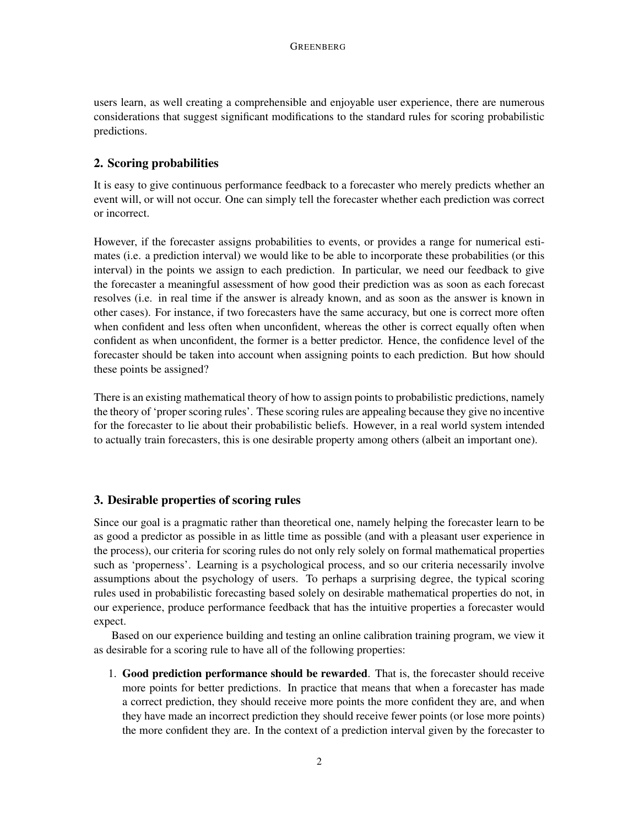users learn, as well creating a comprehensible and enjoyable user experience, there are numerous considerations that suggest significant modifications to the standard rules for scoring probabilistic predictions.

# 2. Scoring probabilities

It is easy to give continuous performance feedback to a forecaster who merely predicts whether an event will, or will not occur. One can simply tell the forecaster whether each prediction was correct or incorrect.

However, if the forecaster assigns probabilities to events, or provides a range for numerical estimates (i.e. a prediction interval) we would like to be able to incorporate these probabilities (or this interval) in the points we assign to each prediction. In particular, we need our feedback to give the forecaster a meaningful assessment of how good their prediction was as soon as each forecast resolves (i.e. in real time if the answer is already known, and as soon as the answer is known in other cases). For instance, if two forecasters have the same accuracy, but one is correct more often when confident and less often when unconfident, whereas the other is correct equally often when confident as when unconfident, the former is a better predictor. Hence, the confidence level of the forecaster should be taken into account when assigning points to each prediction. But how should these points be assigned?

There is an existing mathematical theory of how to assign points to probabilistic predictions, namely the theory of 'proper scoring rules'. These scoring rules are appealing because they give no incentive for the forecaster to lie about their probabilistic beliefs. However, in a real world system intended to actually train forecasters, this is one desirable property among others (albeit an important one).

# 3. Desirable properties of scoring rules

Since our goal is a pragmatic rather than theoretical one, namely helping the forecaster learn to be as good a predictor as possible in as little time as possible (and with a pleasant user experience in the process), our criteria for scoring rules do not only rely solely on formal mathematical properties such as 'properness'. Learning is a psychological process, and so our criteria necessarily involve assumptions about the psychology of users. To perhaps a surprising degree, the typical scoring rules used in probabilistic forecasting based solely on desirable mathematical properties do not, in our experience, produce performance feedback that has the intuitive properties a forecaster would expect.

Based on our experience building and testing an online calibration training program, we view it as desirable for a scoring rule to have all of the following properties:

1. Good prediction performance should be rewarded. That is, the forecaster should receive more points for better predictions. In practice that means that when a forecaster has made a correct prediction, they should receive more points the more confident they are, and when they have made an incorrect prediction they should receive fewer points (or lose more points) the more confident they are. In the context of a prediction interval given by the forecaster to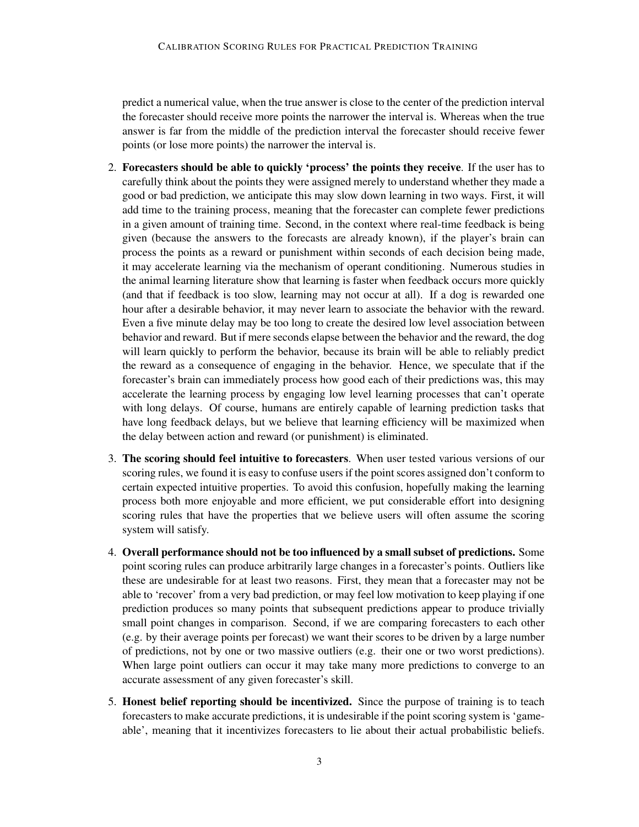predict a numerical value, when the true answer is close to the center of the prediction interval the forecaster should receive more points the narrower the interval is. Whereas when the true answer is far from the middle of the prediction interval the forecaster should receive fewer points (or lose more points) the narrower the interval is.

- 2. Forecasters should be able to quickly 'process' the points they receive. If the user has to carefully think about the points they were assigned merely to understand whether they made a good or bad prediction, we anticipate this may slow down learning in two ways. First, it will add time to the training process, meaning that the forecaster can complete fewer predictions in a given amount of training time. Second, in the context where real-time feedback is being given (because the answers to the forecasts are already known), if the player's brain can process the points as a reward or punishment within seconds of each decision being made, it may accelerate learning via the mechanism of operant conditioning. Numerous studies in the animal learning literature show that learning is faster when feedback occurs more quickly (and that if feedback is too slow, learning may not occur at all). If a dog is rewarded one hour after a desirable behavior, it may never learn to associate the behavior with the reward. Even a five minute delay may be too long to create the desired low level association between behavior and reward. But if mere seconds elapse between the behavior and the reward, the dog will learn quickly to perform the behavior, because its brain will be able to reliably predict the reward as a consequence of engaging in the behavior. Hence, we speculate that if the forecaster's brain can immediately process how good each of their predictions was, this may accelerate the learning process by engaging low level learning processes that can't operate with long delays. Of course, humans are entirely capable of learning prediction tasks that have long feedback delays, but we believe that learning efficiency will be maximized when the delay between action and reward (or punishment) is eliminated.
- 3. The scoring should feel intuitive to forecasters. When user tested various versions of our scoring rules, we found it is easy to confuse users if the point scores assigned don't conform to certain expected intuitive properties. To avoid this confusion, hopefully making the learning process both more enjoyable and more efficient, we put considerable effort into designing scoring rules that have the properties that we believe users will often assume the scoring system will satisfy.
- 4. Overall performance should not be too influenced by a small subset of predictions. Some point scoring rules can produce arbitrarily large changes in a forecaster's points. Outliers like these are undesirable for at least two reasons. First, they mean that a forecaster may not be able to 'recover' from a very bad prediction, or may feel low motivation to keep playing if one prediction produces so many points that subsequent predictions appear to produce trivially small point changes in comparison. Second, if we are comparing forecasters to each other (e.g. by their average points per forecast) we want their scores to be driven by a large number of predictions, not by one or two massive outliers (e.g. their one or two worst predictions). When large point outliers can occur it may take many more predictions to converge to an accurate assessment of any given forecaster's skill.
- 5. Honest belief reporting should be incentivized. Since the purpose of training is to teach forecasters to make accurate predictions, it is undesirable if the point scoring system is 'gameable', meaning that it incentivizes forecasters to lie about their actual probabilistic beliefs.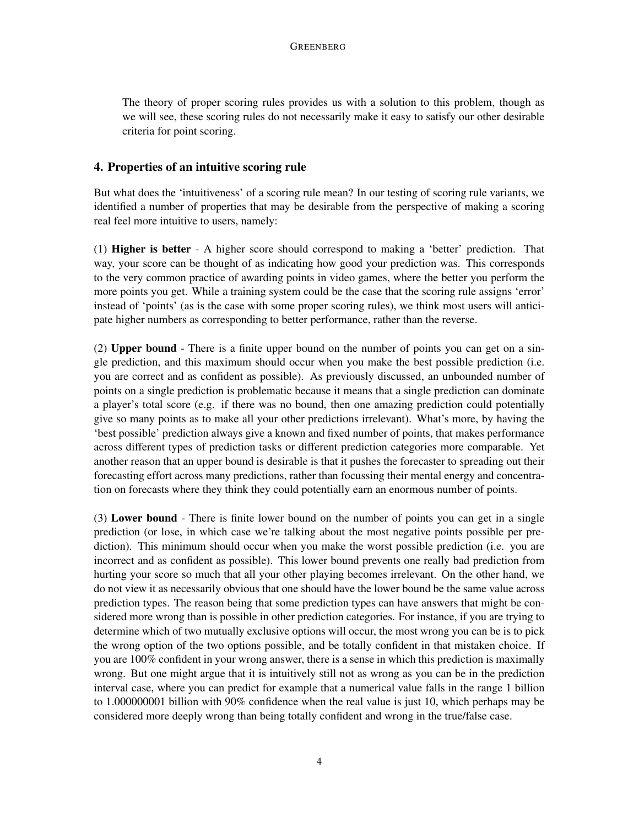The theory of proper scoring rules provides us with a solution to this problem, though as we will see, these scoring rules do not necessarily make it easy to satisfy our other desirable criteria for point scoring.

# 4. Properties of an intuitive scoring rule

But what does the 'intuitiveness' of a scoring rule mean? In our testing of scoring rule variants, we identified a number of properties that may be desirable from the perspective of making a scoring real feel more intuitive to users, namely:

(1) Higher is better - A higher score should correspond to making a 'better' prediction. That way, your score can be thought of as indicating how good your prediction was. This corresponds to the very common practice of awarding points in video games, where the better you perform the more points you get. While a training system could be the case that the scoring rule assigns 'error' instead of 'points' (as is the case with some proper scoring rules), we think most users will anticipate higher numbers as corresponding to better performance, rather than the reverse.

(2) Upper bound - There is a finite upper bound on the number of points you can get on a single prediction, and this maximum should occur when you make the best possible prediction (i.e. you are correct and as confident as possible). As previously discussed, an unbounded number of points on a single prediction is problematic because it means that a single prediction can dominate a player's total score (e.g. if there was no bound, then one amazing prediction could potentially give so many points as to make all your other predictions irrelevant). What's more, by having the 'best possible' prediction always give a known and fixed number of points, that makes performance across different types of prediction tasks or different prediction categories more comparable. Yet another reason that an upper bound is desirable is that it pushes the forecaster to spreading out their forecasting effort across many predictions, rather than focussing their mental energy and concentration on forecasts where they think they could potentially earn an enormous number of points.

(3) Lower bound - There is finite lower bound on the number of points you can get in a single prediction (or lose, in which case we're talking about the most negative points possible per prediction). This minimum should occur when you make the worst possible prediction (i.e. you are incorrect and as confident as possible). This lower bound prevents one really bad prediction from hurting your score so much that all your other playing becomes irrelevant. On the other hand, we do not view it as necessarily obvious that one should have the lower bound be the same value across prediction types. The reason being that some prediction types can have answers that might be considered more wrong than is possible in other prediction categories. For instance, if you are trying to determine which of two mutually exclusive options will occur, the most wrong you can be is to pick the wrong option of the two options possible, and be totally confident in that mistaken choice. If you are 100% confident in your wrong answer, there is a sense in which this prediction is maximally wrong. But one might argue that it is intuitively still not as wrong as you can be in the prediction interval case, where you can predict for example that a numerical value falls in the range 1 billion to 1.000000001 billion with 90% confidence when the real value is just 10, which perhaps may be considered more deeply wrong than being totally confident and wrong in the true/false case.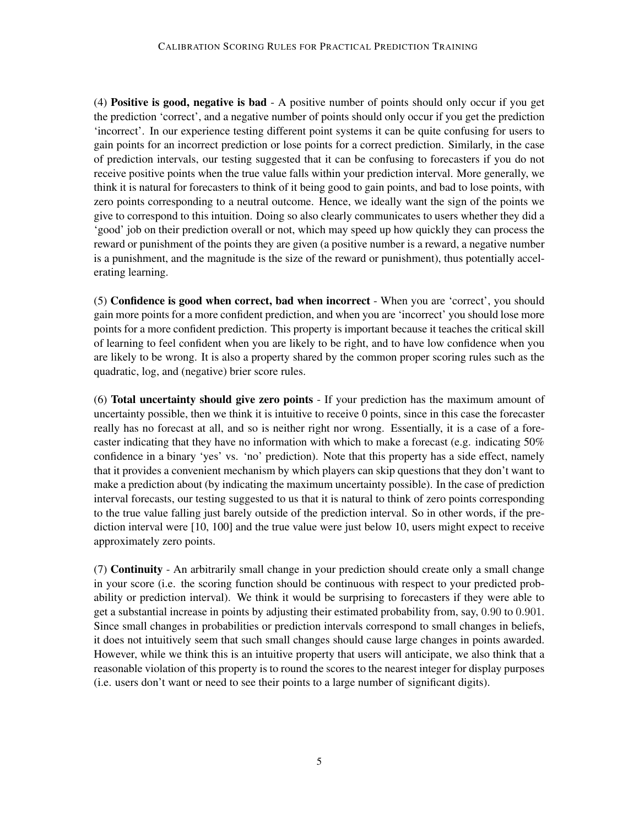(4) Positive is good, negative is bad - A positive number of points should only occur if you get the prediction 'correct', and a negative number of points should only occur if you get the prediction 'incorrect'. In our experience testing different point systems it can be quite confusing for users to gain points for an incorrect prediction or lose points for a correct prediction. Similarly, in the case of prediction intervals, our testing suggested that it can be confusing to forecasters if you do not receive positive points when the true value falls within your prediction interval. More generally, we think it is natural for forecasters to think of it being good to gain points, and bad to lose points, with zero points corresponding to a neutral outcome. Hence, we ideally want the sign of the points we give to correspond to this intuition. Doing so also clearly communicates to users whether they did a 'good' job on their prediction overall or not, which may speed up how quickly they can process the reward or punishment of the points they are given (a positive number is a reward, a negative number is a punishment, and the magnitude is the size of the reward or punishment), thus potentially accelerating learning.

(5) Confidence is good when correct, bad when incorrect - When you are 'correct', you should gain more points for a more confident prediction, and when you are 'incorrect' you should lose more points for a more confident prediction. This property is important because it teaches the critical skill of learning to feel confident when you are likely to be right, and to have low confidence when you are likely to be wrong. It is also a property shared by the common proper scoring rules such as the quadratic, log, and (negative) brier score rules.

(6) Total uncertainty should give zero points - If your prediction has the maximum amount of uncertainty possible, then we think it is intuitive to receive 0 points, since in this case the forecaster really has no forecast at all, and so is neither right nor wrong. Essentially, it is a case of a forecaster indicating that they have no information with which to make a forecast (e.g. indicating 50% confidence in a binary 'yes' vs. 'no' prediction). Note that this property has a side effect, namely that it provides a convenient mechanism by which players can skip questions that they don't want to make a prediction about (by indicating the maximum uncertainty possible). In the case of prediction interval forecasts, our testing suggested to us that it is natural to think of zero points corresponding to the true value falling just barely outside of the prediction interval. So in other words, if the prediction interval were [10, 100] and the true value were just below 10, users might expect to receive approximately zero points.

(7) Continuity - An arbitrarily small change in your prediction should create only a small change in your score (i.e. the scoring function should be continuous with respect to your predicted probability or prediction interval). We think it would be surprising to forecasters if they were able to get a substantial increase in points by adjusting their estimated probability from, say, 0.90 to 0.901. Since small changes in probabilities or prediction intervals correspond to small changes in beliefs, it does not intuitively seem that such small changes should cause large changes in points awarded. However, while we think this is an intuitive property that users will anticipate, we also think that a reasonable violation of this property is to round the scores to the nearest integer for display purposes (i.e. users don't want or need to see their points to a large number of significant digits).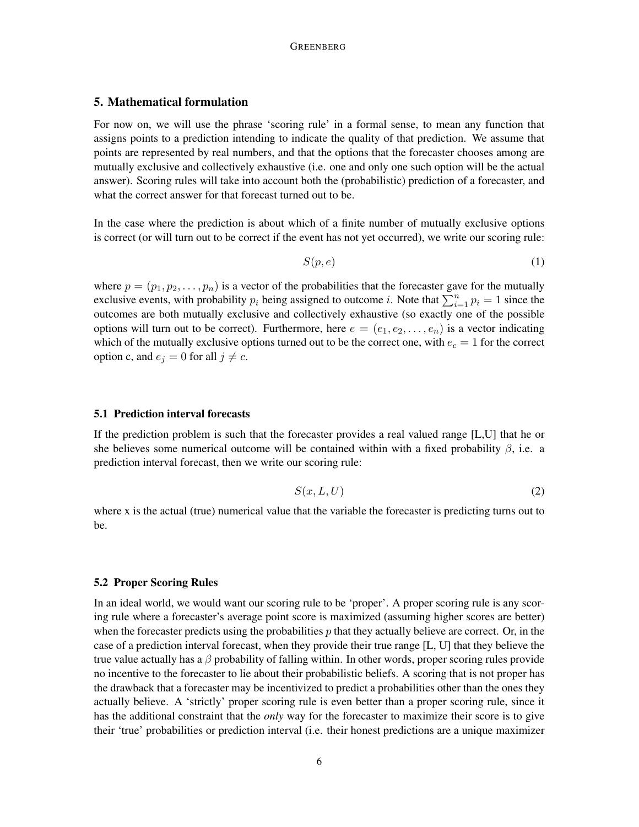## 5. Mathematical formulation

For now on, we will use the phrase 'scoring rule' in a formal sense, to mean any function that assigns points to a prediction intending to indicate the quality of that prediction. We assume that points are represented by real numbers, and that the options that the forecaster chooses among are mutually exclusive and collectively exhaustive (i.e. one and only one such option will be the actual answer). Scoring rules will take into account both the (probabilistic) prediction of a forecaster, and what the correct answer for that forecast turned out to be.

In the case where the prediction is about which of a finite number of mutually exclusive options is correct (or will turn out to be correct if the event has not yet occurred), we write our scoring rule:

$$
S(p,e) \tag{1}
$$

where  $p = (p_1, p_2, \dots, p_n)$  is a vector of the probabilities that the forecaster gave for the mutually exclusive events, with probability  $p_i$  being assigned to outcome i. Note that  $\sum_{i=1}^{n} p_i = 1$  since the outcomes are both mutually exclusive and collectively exhaustive (so exactly one of the possible options will turn out to be correct). Furthermore, here  $e = (e_1, e_2, \ldots, e_n)$  is a vector indicating which of the mutually exclusive options turned out to be the correct one, with  $e_c = 1$  for the correct option c, and  $e_i = 0$  for all  $j \neq c$ .

### 5.1 Prediction interval forecasts

If the prediction problem is such that the forecaster provides a real valued range [L,U] that he or she believes some numerical outcome will be contained within with a fixed probability  $\beta$ , i.e. a prediction interval forecast, then we write our scoring rule:

$$
S(x, L, U) \tag{2}
$$

where x is the actual (true) numerical value that the variable the forecaster is predicting turns out to be.

#### 5.2 Proper Scoring Rules

In an ideal world, we would want our scoring rule to be 'proper'. A proper scoring rule is any scoring rule where a forecaster's average point score is maximized (assuming higher scores are better) when the forecaster predicts using the probabilities  $p$  that they actually believe are correct. Or, in the case of a prediction interval forecast, when they provide their true range [L, U] that they believe the true value actually has a  $\beta$  probability of falling within. In other words, proper scoring rules provide no incentive to the forecaster to lie about their probabilistic beliefs. A scoring that is not proper has the drawback that a forecaster may be incentivized to predict a probabilities other than the ones they actually believe. A 'strictly' proper scoring rule is even better than a proper scoring rule, since it has the additional constraint that the *only* way for the forecaster to maximize their score is to give their 'true' probabilities or prediction interval (i.e. their honest predictions are a unique maximizer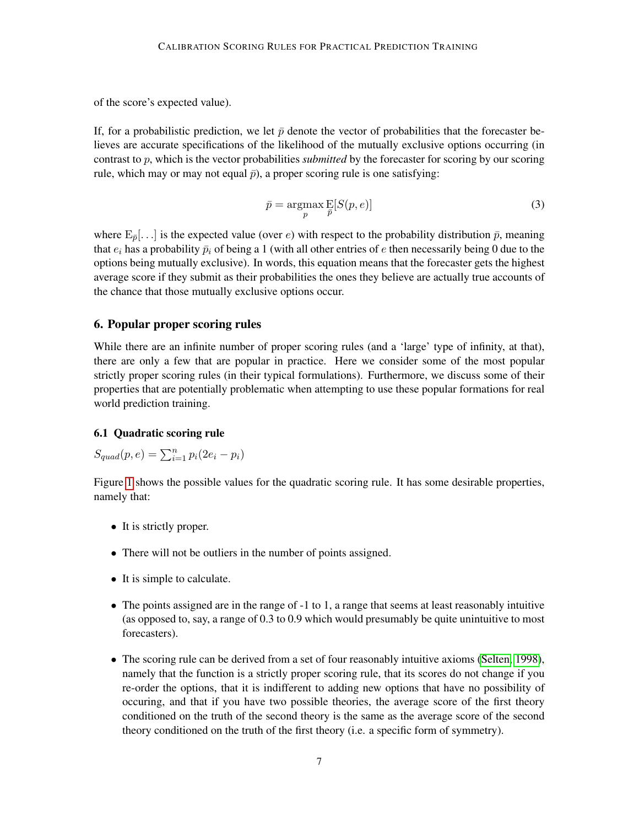of the score's expected value).

If, for a probabilistic prediction, we let  $\bar{p}$  denote the vector of probabilities that the forecaster believes are accurate specifications of the likelihood of the mutually exclusive options occurring (in contrast to p, which is the vector probabilities *submitted* by the forecaster for scoring by our scoring rule, which may or may not equal  $\bar{p}$ ), a proper scoring rule is one satisfying:

$$
\bar{p} = \underset{p}{\operatorname{argmax}} \mathop{\mathbb{E}}_{\bar{p}}[S(p, e)] \tag{3}
$$

where  $E_{\bar{p}}[...]$  is the expected value (over e) with respect to the probability distribution  $\bar{p}$ , meaning that  $e_i$  has a probability  $\bar{p}_i$  of being a 1 (with all other entries of e then necessarily being 0 due to the options being mutually exclusive). In words, this equation means that the forecaster gets the highest average score if they submit as their probabilities the ones they believe are actually true accounts of the chance that those mutually exclusive options occur.

## 6. Popular proper scoring rules

While there are an infinite number of proper scoring rules (and a 'large' type of infinity, at that), there are only a few that are popular in practice. Here we consider some of the most popular strictly proper scoring rules (in their typical formulations). Furthermore, we discuss some of their properties that are potentially problematic when attempting to use these popular formations for real world prediction training.

## 6.1 Quadratic scoring rule

$$
S_{quad}(p,e) = \sum_{i=1}^{n} p_i(2e_i - p_i)
$$

Figure [1](#page-7-0) shows the possible values for the quadratic scoring rule. It has some desirable properties, namely that:

- It is strictly proper.
- There will not be outliers in the number of points assigned.
- It is simple to calculate.
- The points assigned are in the range of -1 to 1, a range that seems at least reasonably intuitive (as opposed to, say, a range of 0.3 to 0.9 which would presumably be quite unintuitive to most forecasters).
- The scoring rule can be derived from a set of four reasonably intuitive axioms [\(Selten, 1998\)](#page-22-0), namely that the function is a strictly proper scoring rule, that its scores do not change if you re-order the options, that it is indifferent to adding new options that have no possibility of occuring, and that if you have two possible theories, the average score of the first theory conditioned on the truth of the second theory is the same as the average score of the second theory conditioned on the truth of the first theory (i.e. a specific form of symmetry).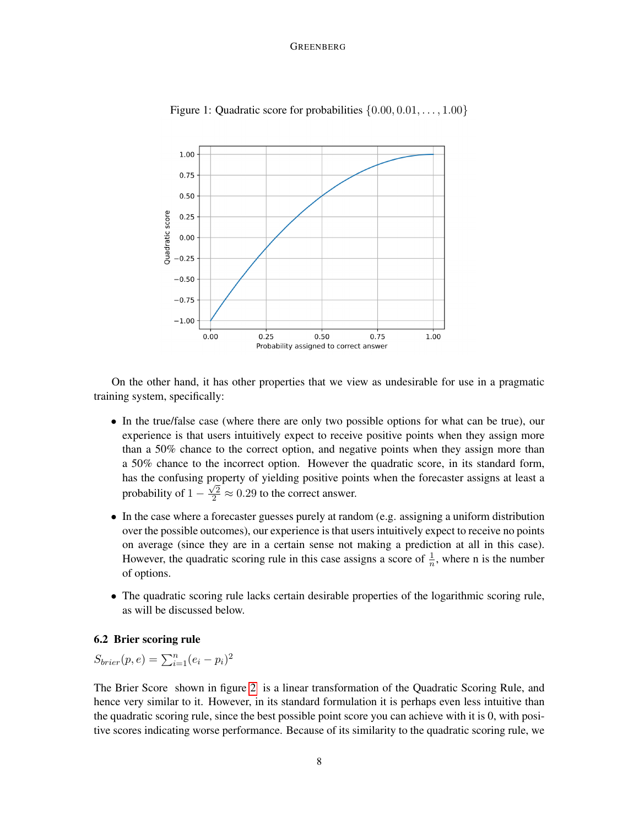#### GREENBERG



<span id="page-7-0"></span>Figure 1: Quadratic score for probabilities  $\{0.00, 0.01, \ldots, 1.00\}$ 

On the other hand, it has other properties that we view as undesirable for use in a pragmatic training system, specifically:

- In the true/false case (where there are only two possible options for what can be true), our experience is that users intuitively expect to receive positive points when they assign more than a 50% chance to the correct option, and negative points when they assign more than a 50% chance to the incorrect option. However the quadratic score, in its standard form, has the confusing property of yielding positive points when the forecaster assigns at least a probability of  $1 - \frac{\sqrt{2}}{2} \approx 0.29$  to the correct answer.
- In the case where a forecaster guesses purely at random (e.g. assigning a uniform distribution over the possible outcomes), our experience is that users intuitively expect to receive no points on average (since they are in a certain sense not making a prediction at all in this case). However, the quadratic scoring rule in this case assigns a score of  $\frac{1}{n}$ , where n is the number of options.
- The quadratic scoring rule lacks certain desirable properties of the logarithmic scoring rule, as will be discussed below.

## 6.2 Brier scoring rule

 $S_{brier}(p, e) = \sum_{i=1}^{n} (e_i - p_i)^2$ 

The Brier Score shown in figure [2](#page-8-0) is a linear transformation of the Quadratic Scoring Rule, and hence very similar to it. However, in its standard formulation it is perhaps even less intuitive than the quadratic scoring rule, since the best possible point score you can achieve with it is 0, with positive scores indicating worse performance. Because of its similarity to the quadratic scoring rule, we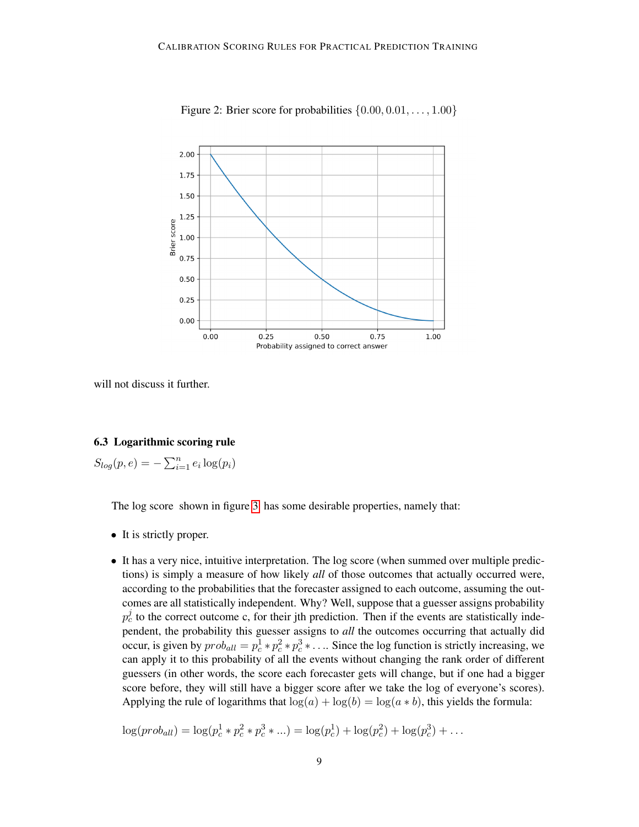

<span id="page-8-0"></span>Figure 2: Brier score for probabilities  $\{0.00, 0.01, \ldots, 1.00\}$ 

will not discuss it further.

# 6.3 Logarithmic scoring rule

 $S_{log}(p, e) = -\sum_{i=1}^{n} e_i \log(p_i)$ 

The log score shown in figure [3](#page-9-0) has some desirable properties, namely that:

- It is strictly proper.
- It has a very nice, intuitive interpretation. The log score (when summed over multiple predictions) is simply a measure of how likely *all* of those outcomes that actually occurred were, according to the probabilities that the forecaster assigned to each outcome, assuming the outcomes are all statistically independent. Why? Well, suppose that a guesser assigns probability  $p_c^j$  to the correct outcome c, for their jth prediction. Then if the events are statistically independent, the probability this guesser assigns to *all* the outcomes occurring that actually did occur, is given by  $prob_{all} = p_c^1 * p_c^2 * p_c^3 * \dots$  Since the log function is strictly increasing, we can apply it to this probability of all the events without changing the rank order of different guessers (in other words, the score each forecaster gets will change, but if one had a bigger score before, they will still have a bigger score after we take the log of everyone's scores). Applying the rule of logarithms that  $log(a) + log(b) = log(a * b)$ , this yields the formula:

$$
\log(prob_{all}) = \log(p_c^1 * p_c^2 * p_c^3 * ... ) = \log(p_c^1) + \log(p_c^2) + \log(p_c^3) + ...
$$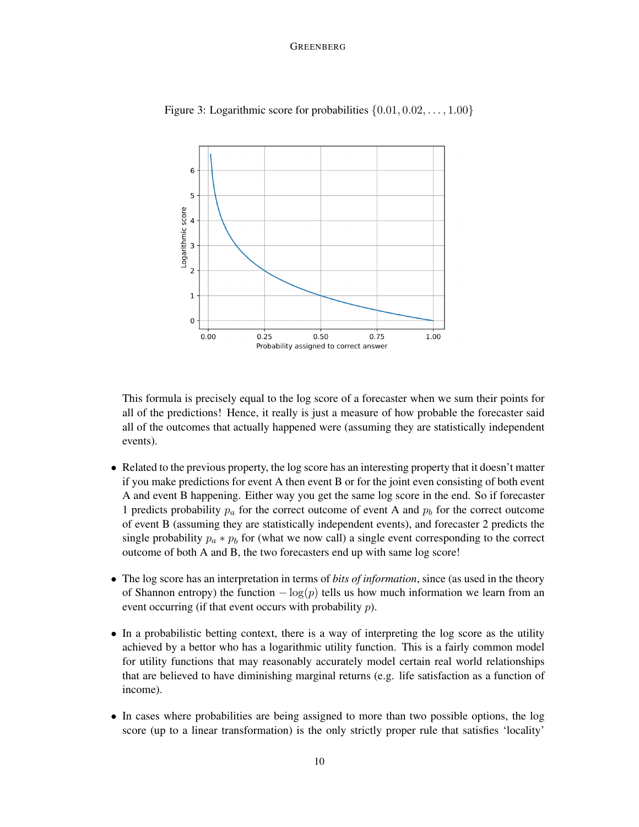#### GREENBERG



<span id="page-9-0"></span>Figure 3: Logarithmic score for probabilities  $\{0.01, 0.02, \ldots, 1.00\}$ 

This formula is precisely equal to the log score of a forecaster when we sum their points for all of the predictions! Hence, it really is just a measure of how probable the forecaster said all of the outcomes that actually happened were (assuming they are statistically independent events).

- Related to the previous property, the log score has an interesting property that it doesn't matter if you make predictions for event A then event B or for the joint even consisting of both event A and event B happening. Either way you get the same log score in the end. So if forecaster 1 predicts probability  $p_a$  for the correct outcome of event A and  $p_b$  for the correct outcome of event B (assuming they are statistically independent events), and forecaster 2 predicts the single probability  $p_a * p_b$  for (what we now call) a single event corresponding to the correct outcome of both A and B, the two forecasters end up with same log score!
- The log score has an interpretation in terms of *bits of information*, since (as used in the theory of Shannon entropy) the function  $-\log(p)$  tells us how much information we learn from an event occurring (if that event occurs with probability p).
- In a probabilistic betting context, there is a way of interpreting the log score as the utility achieved by a bettor who has a logarithmic utility function. This is a fairly common model for utility functions that may reasonably accurately model certain real world relationships that are believed to have diminishing marginal returns (e.g. life satisfaction as a function of income).
- In cases where probabilities are being assigned to more than two possible options, the log score (up to a linear transformation) is the only strictly proper rule that satisfies 'locality'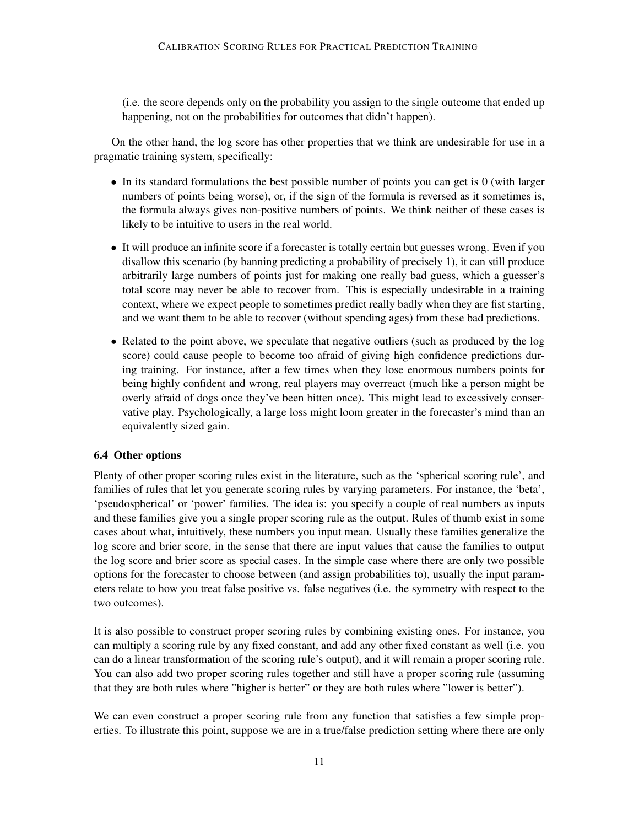(i.e. the score depends only on the probability you assign to the single outcome that ended up happening, not on the probabilities for outcomes that didn't happen).

On the other hand, the log score has other properties that we think are undesirable for use in a pragmatic training system, specifically:

- In its standard formulations the best possible number of points you can get is 0 (with larger numbers of points being worse), or, if the sign of the formula is reversed as it sometimes is, the formula always gives non-positive numbers of points. We think neither of these cases is likely to be intuitive to users in the real world.
- It will produce an infinite score if a forecaster is totally certain but guesses wrong. Even if you disallow this scenario (by banning predicting a probability of precisely 1), it can still produce arbitrarily large numbers of points just for making one really bad guess, which a guesser's total score may never be able to recover from. This is especially undesirable in a training context, where we expect people to sometimes predict really badly when they are fist starting, and we want them to be able to recover (without spending ages) from these bad predictions.
- Related to the point above, we speculate that negative outliers (such as produced by the log score) could cause people to become too afraid of giving high confidence predictions during training. For instance, after a few times when they lose enormous numbers points for being highly confident and wrong, real players may overreact (much like a person might be overly afraid of dogs once they've been bitten once). This might lead to excessively conservative play. Psychologically, a large loss might loom greater in the forecaster's mind than an equivalently sized gain.

### 6.4 Other options

Plenty of other proper scoring rules exist in the literature, such as the 'spherical scoring rule', and families of rules that let you generate scoring rules by varying parameters. For instance, the 'beta', 'pseudospherical' or 'power' families. The idea is: you specify a couple of real numbers as inputs and these families give you a single proper scoring rule as the output. Rules of thumb exist in some cases about what, intuitively, these numbers you input mean. Usually these families generalize the log score and brier score, in the sense that there are input values that cause the families to output the log score and brier score as special cases. In the simple case where there are only two possible options for the forecaster to choose between (and assign probabilities to), usually the input parameters relate to how you treat false positive vs. false negatives (i.e. the symmetry with respect to the two outcomes).

It is also possible to construct proper scoring rules by combining existing ones. For instance, you can multiply a scoring rule by any fixed constant, and add any other fixed constant as well (i.e. you can do a linear transformation of the scoring rule's output), and it will remain a proper scoring rule. You can also add two proper scoring rules together and still have a proper scoring rule (assuming that they are both rules where "higher is better" or they are both rules where "lower is better").

We can even construct a proper scoring rule from any function that satisfies a few simple properties. To illustrate this point, suppose we are in a true/false prediction setting where there are only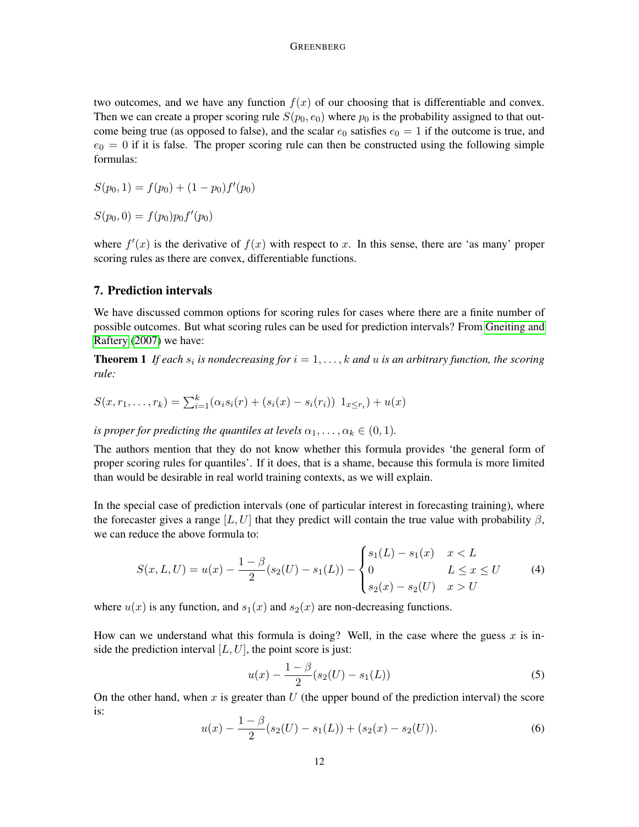two outcomes, and we have any function  $f(x)$  of our choosing that is differentiable and convex. Then we can create a proper scoring rule  $S(p_0, e_0)$  where  $p_0$  is the probability assigned to that outcome being true (as opposed to false), and the scalar  $e_0$  satisfies  $e_0 = 1$  if the outcome is true, and  $e_0 = 0$  if it is false. The proper scoring rule can then be constructed using the following simple formulas:

$$
S(p_0, 1) = f(p_0) + (1 - p_0) f'(p_0)
$$

 $S(p_0, 0) = f(p_0)p_0f'(p_0)$ 

where  $f'(x)$  is the derivative of  $f(x)$  with respect to x. In this sense, there are 'as many' proper scoring rules as there are convex, differentiable functions.

## 7. Prediction intervals

We have discussed common options for scoring rules for cases where there are a finite number of possible outcomes. But what scoring rules can be used for prediction intervals? From [Gneiting and](#page-22-1) [Raftery](#page-22-1) [\(2007\)](#page-22-1) we have:

**Theorem 1** If each  $s_i$  is nondecreasing for  $i = 1, \ldots, k$  and  $u$  is an arbitrary function, the scoring *rule:*

$$
S(x, r_1, \ldots, r_k) = \sum_{i=1}^k (\alpha_i s_i(r) + (s_i(x) - s_i(r_i)) \mathbf{1}_{x \le r_i}) + u(x)
$$

*is proper for predicting the quantiles at levels*  $\alpha_1, \ldots, \alpha_k \in (0, 1)$ *.* 

The authors mention that they do not know whether this formula provides 'the general form of proper scoring rules for quantiles'. If it does, that is a shame, because this formula is more limited than would be desirable in real world training contexts, as we will explain.

In the special case of prediction intervals (one of particular interest in forecasting training), where the forecaster gives a range [L, U] that they predict will contain the true value with probability  $\beta$ , we can reduce the above formula to:

$$
S(x, L, U) = u(x) - \frac{1 - \beta}{2}(s_2(U) - s_1(L)) - \begin{cases} s_1(L) - s_1(x) & x < L \\ 0 & L \le x \le U \\ s_2(x) - s_2(U) & x > U \end{cases} \tag{4}
$$

where  $u(x)$  is any function, and  $s_1(x)$  and  $s_2(x)$  are non-decreasing functions.

How can we understand what this formula is doing? Well, in the case where the guess  $x$  is inside the prediction interval  $[L, U]$ , the point score is just:

$$
u(x) - \frac{1 - \beta}{2}(s_2(U) - s_1(L))
$$
\n(5)

On the other hand, when x is greater than  $U$  (the upper bound of the prediction interval) the score is:

$$
u(x) - \frac{1-\beta}{2}(s_2(U) - s_1(L)) + (s_2(x) - s_2(U)).
$$
\n(6)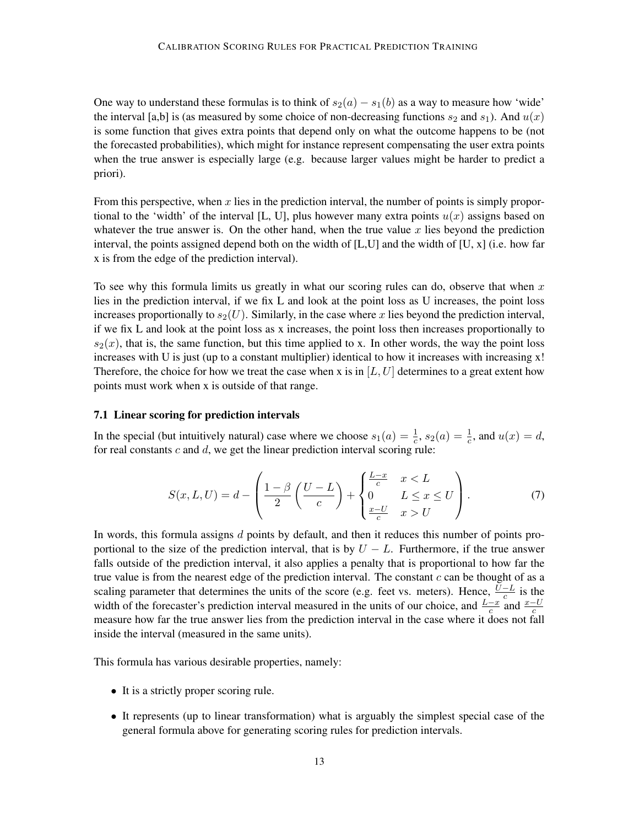One way to understand these formulas is to think of  $s_2(a) - s_1(b)$  as a way to measure how 'wide' the interval [a,b] is (as measured by some choice of non-decreasing functions  $s_2$  and  $s_1$ ). And  $u(x)$ is some function that gives extra points that depend only on what the outcome happens to be (not the forecasted probabilities), which might for instance represent compensating the user extra points when the true answer is especially large (e.g. because larger values might be harder to predict a priori).

From this perspective, when  $x$  lies in the prediction interval, the number of points is simply proportional to the 'width' of the interval [L, U], plus however many extra points  $u(x)$  assigns based on whatever the true answer is. On the other hand, when the true value  $x$  lies beyond the prediction interval, the points assigned depend both on the width of [L,U] and the width of [U, x] (i.e. how far x is from the edge of the prediction interval).

To see why this formula limits us greatly in what our scoring rules can do, observe that when  $x$ lies in the prediction interval, if we fix L and look at the point loss as U increases, the point loss increases proportionally to  $s_2(U)$ . Similarly, in the case where x lies beyond the prediction interval, if we fix L and look at the point loss as x increases, the point loss then increases proportionally to  $s_2(x)$ , that is, the same function, but this time applied to x. In other words, the way the point loss increases with U is just (up to a constant multiplier) identical to how it increases with increasing  $x!$ Therefore, the choice for how we treat the case when x is in  $[L, U]$  determines to a great extent how points must work when x is outside of that range.

#### 7.1 Linear scoring for prediction intervals

In the special (but intuitively natural) case where we choose  $s_1(a) = \frac{1}{c}$ ,  $s_2(a) = \frac{1}{c}$ , and  $u(x) = d$ , for real constants  $c$  and  $d$ , we get the linear prediction interval scoring rule:

<span id="page-12-0"></span>
$$
S(x, L, U) = d - \left(\frac{1-\beta}{2}\left(\frac{U-L}{c}\right) + \begin{cases} \frac{L-x}{c} & x < L \\ 0 & L \le x \le U \\ \frac{x-U}{c} & x > U \end{cases}\right). \tag{7}
$$

In words, this formula assigns  $d$  points by default, and then it reduces this number of points proportional to the size of the prediction interval, that is by  $U - L$ . Furthermore, if the true answer falls outside of the prediction interval, it also applies a penalty that is proportional to how far the true value is from the nearest edge of the prediction interval. The constant  $c$  can be thought of as a scaling parameter that determines the units of the score (e.g. feet vs. meters). Hence,  $\frac{U-L}{c}$  is the width of the forecaster's prediction interval measured in the units of our choice, and  $\frac{L-x}{c}$  and  $\frac{x-U}{c}$ measure how far the true answer lies from the prediction interval in the case where it does not fall inside the interval (measured in the same units).

This formula has various desirable properties, namely:

- It is a strictly proper scoring rule.
- It represents (up to linear transformation) what is arguably the simplest special case of the general formula above for generating scoring rules for prediction intervals.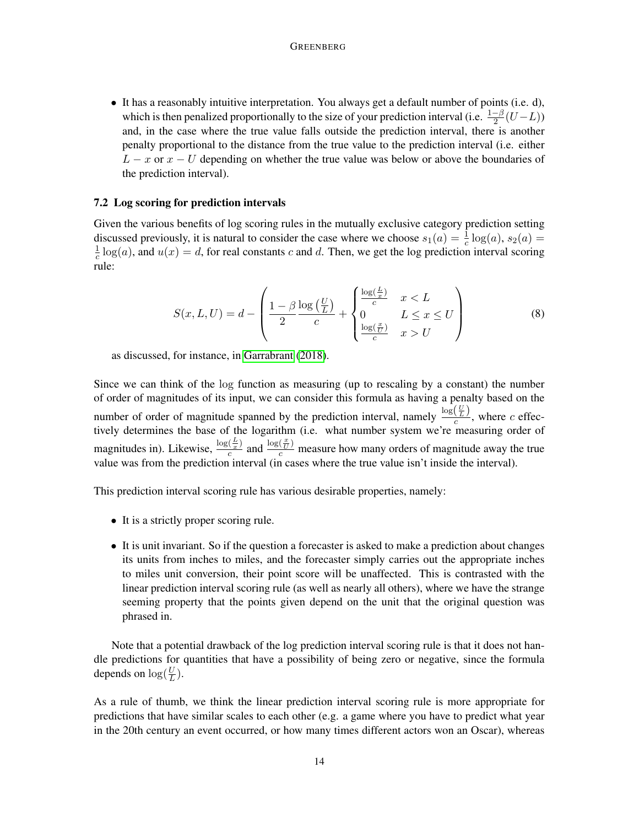• It has a reasonably intuitive interpretation. You always get a default number of points (i.e. d), which is then penalized proportionally to the size of your prediction interval (i.e.  $\frac{1-\beta}{2}(U-L)$ ) and, in the case where the true value falls outside the prediction interval, there is another penalty proportional to the distance from the true value to the prediction interval (i.e. either  $L - x$  or  $x - U$  depending on whether the true value was below or above the boundaries of the prediction interval).

#### 7.2 Log scoring for prediction intervals

Given the various benefits of log scoring rules in the mutually exclusive category prediction setting discussed previously, it is natural to consider the case where we choose  $s_1(a) = \frac{1}{c} \log(a)$ ,  $s_2(a) =$ 1  $\frac{1}{c}$  log(a), and  $u(x) = d$ , for real constants c and d. Then, we get the log prediction interval scoring rule:

$$
S(x, L, U) = d - \left(\frac{1 - \beta \log\left(\frac{U}{L}\right)}{2} + \begin{cases} \frac{\log\left(\frac{L}{x}\right)}{c} & x < L \\ 0 & L \le x \le U \\ \frac{\log\left(\frac{x}{U}\right)}{c} & x > U \end{cases}\right) \tag{8}
$$

as discussed, for instance, in [Garrabrant](#page-22-2) [\(2018\)](#page-22-2).

Since we can think of the log function as measuring (up to rescaling by a constant) the number of order of magnitudes of its input, we can consider this formula as having a penalty based on the number of order of magnitude spanned by the prediction interval, namely  $\frac{\log(\frac{U}{L})}{c}$ , where c effectively determines the base of the logarithm (i.e. what number system we're measuring order of magnitudes in). Likewise,  $\frac{\log(\frac{L}{x})}{c}$  $\frac{(\frac{L}{x})}{c}$  and  $\frac{\log(\frac{x}{U})}{c}$  measure how many orders of magnitude away the true value was from the prediction interval (in cases where the true value isn't inside the interval).

This prediction interval scoring rule has various desirable properties, namely:

- It is a strictly proper scoring rule.
- It is unit invariant. So if the question a forecaster is asked to make a prediction about changes its units from inches to miles, and the forecaster simply carries out the appropriate inches to miles unit conversion, their point score will be unaffected. This is contrasted with the linear prediction interval scoring rule (as well as nearly all others), where we have the strange seeming property that the points given depend on the unit that the original question was phrased in.

Note that a potential drawback of the log prediction interval scoring rule is that it does not handle predictions for quantities that have a possibility of being zero or negative, since the formula depends on  $\log(\frac{U}{L})$ .

As a rule of thumb, we think the linear prediction interval scoring rule is more appropriate for predictions that have similar scales to each other (e.g. a game where you have to predict what year in the 20th century an event occurred, or how many times different actors won an Oscar), whereas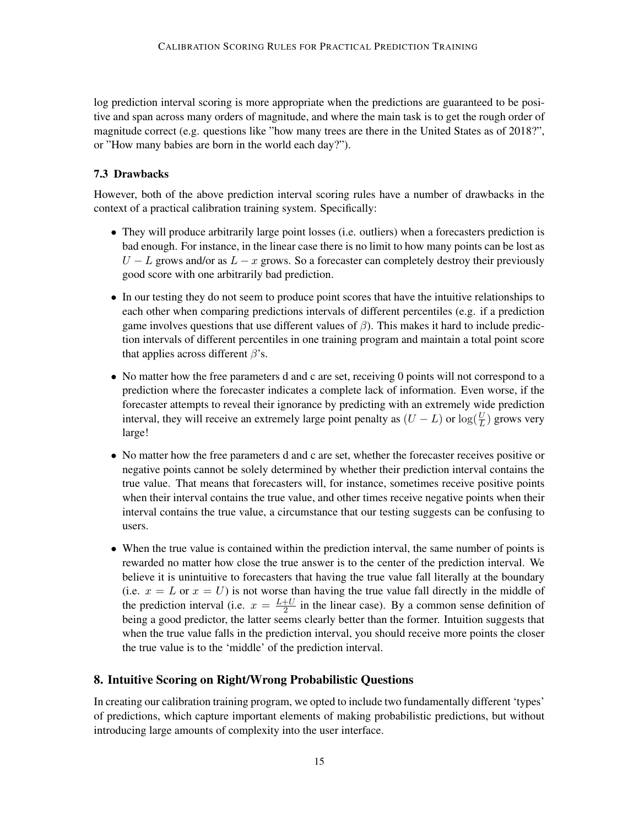log prediction interval scoring is more appropriate when the predictions are guaranteed to be positive and span across many orders of magnitude, and where the main task is to get the rough order of magnitude correct (e.g. questions like "how many trees are there in the United States as of 2018?", or "How many babies are born in the world each day?").

## 7.3 Drawbacks

However, both of the above prediction interval scoring rules have a number of drawbacks in the context of a practical calibration training system. Specifically:

- They will produce arbitrarily large point losses (i.e. outliers) when a forecasters prediction is bad enough. For instance, in the linear case there is no limit to how many points can be lost as  $U - L$  grows and/or as  $L - x$  grows. So a forecaster can completely destroy their previously good score with one arbitrarily bad prediction.
- In our testing they do not seem to produce point scores that have the intuitive relationships to each other when comparing predictions intervals of different percentiles (e.g. if a prediction game involves questions that use different values of  $\beta$ ). This makes it hard to include prediction intervals of different percentiles in one training program and maintain a total point score that applies across different  $\beta$ 's.
- No matter how the free parameters d and c are set, receiving 0 points will not correspond to a prediction where the forecaster indicates a complete lack of information. Even worse, if the forecaster attempts to reveal their ignorance by predicting with an extremely wide prediction interval, they will receive an extremely large point penalty as  $(U - L)$  or  $\log(\frac{U}{L})$  grows very large!
- No matter how the free parameters d and c are set, whether the forecaster receives positive or negative points cannot be solely determined by whether their prediction interval contains the true value. That means that forecasters will, for instance, sometimes receive positive points when their interval contains the true value, and other times receive negative points when their interval contains the true value, a circumstance that our testing suggests can be confusing to users.
- When the true value is contained within the prediction interval, the same number of points is rewarded no matter how close the true answer is to the center of the prediction interval. We believe it is unintuitive to forecasters that having the true value fall literally at the boundary (i.e.  $x = L$  or  $x = U$ ) is not worse than having the true value fall directly in the middle of the prediction interval (i.e.  $x = \frac{L+U}{2}$  $\frac{1}{2}$  in the linear case). By a common sense definition of being a good predictor, the latter seems clearly better than the former. Intuition suggests that when the true value falls in the prediction interval, you should receive more points the closer the true value is to the 'middle' of the prediction interval.

# 8. Intuitive Scoring on Right/Wrong Probabilistic Questions

In creating our calibration training program, we opted to include two fundamentally different 'types' of predictions, which capture important elements of making probabilistic predictions, but without introducing large amounts of complexity into the user interface.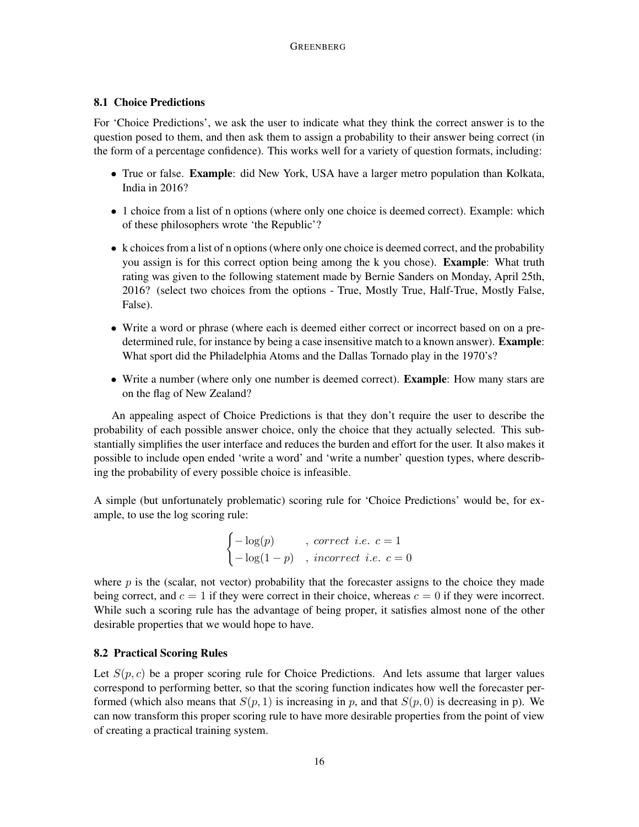## 8.1 Choice Predictions

For 'Choice Predictions', we ask the user to indicate what they think the correct answer is to the question posed to them, and then ask them to assign a probability to their answer being correct (in the form of a percentage confidence). This works well for a variety of question formats, including:

- True or false. **Example**: did New York, USA have a larger metro population than Kolkata, India in 2016?
- 1 choice from a list of n options (where only one choice is deemed correct). Example: which of these philosophers wrote 'the Republic'?
- k choices from a list of n options (where only one choice is deemed correct, and the probability you assign is for this correct option being among the k you chose). **Example:** What truth rating was given to the following statement made by Bernie Sanders on Monday, April 25th, 2016? (select two choices from the options - True, Mostly True, Half-True, Mostly False, False).
- Write a word or phrase (where each is deemed either correct or incorrect based on on a predetermined rule, for instance by being a case insensitive match to a known answer). **Example**: What sport did the Philadelphia Atoms and the Dallas Tornado play in the 1970's?
- Write a number (where only one number is deemed correct). **Example**: How many stars are on the flag of New Zealand?

An appealing aspect of Choice Predictions is that they don't require the user to describe the probability of each possible answer choice, only the choice that they actually selected. This substantially simplifies the user interface and reduces the burden and effort for the user. It also makes it possible to include open ended 'write a word' and 'write a number' question types, where describing the probability of every possible choice is infeasible.

A simple (but unfortunately problematic) scoring rule for 'Choice Predictions' would be, for example, to use the log scoring rule:

$$
\begin{cases}\n-\log(p) & , \ correct \ i.e. \ c = 1 \\
-\log(1-p) & , \ incorrect \ i.e. \ c = 0\n\end{cases}
$$

where  $p$  is the (scalar, not vector) probability that the forecaster assigns to the choice they made being correct, and  $c = 1$  if they were correct in their choice, whereas  $c = 0$  if they were incorrect. While such a scoring rule has the advantage of being proper, it satisfies almost none of the other desirable properties that we would hope to have.

## 8.2 Practical Scoring Rules

Let  $S(p, c)$  be a proper scoring rule for Choice Predictions. And lets assume that larger values correspond to performing better, so that the scoring function indicates how well the forecaster performed (which also means that  $S(p, 1)$  is increasing in p, and that  $S(p, 0)$  is decreasing in p). We can now transform this proper scoring rule to have more desirable properties from the point of view of creating a practical training system.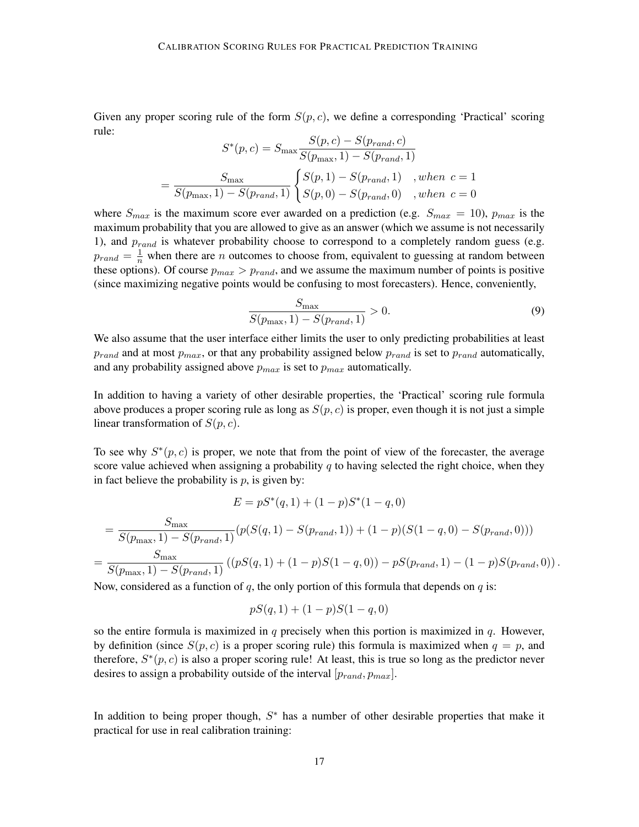Given any proper scoring rule of the form  $S(p, c)$ , we define a corresponding 'Practical' scoring rule:

$$
S^*(p, c) = S_{\text{max}} \frac{S(p, c) - S(p_{rand}, c)}{S(p_{\text{max}}, 1) - S(p_{rand}, 1)}
$$
  
= 
$$
\frac{S_{\text{max}}}{S(p_{\text{max}}, 1) - S(p_{rand}, 1)} \begin{cases} S(p, 1) - S(p_{rand}, 1) & , when \ c = 1 \\ S(p, 0) - S(p_{rand}, 0) & , when \ c = 0 \end{cases}
$$

where  $S_{max}$  is the maximum score ever awarded on a prediction (e.g.  $S_{max} = 10$ ),  $p_{max}$  is the maximum probability that you are allowed to give as an answer (which we assume is not necessarily 1), and  $p_{rand}$  is whatever probability choose to correspond to a completely random guess (e.g.  $p_{rand} = \frac{1}{n}$  when there are *n* outcomes to choose from, equivalent to guessing at random between these options). Of course  $p_{max} > p_{rand}$ , and we assume the maximum number of points is positive (since maximizing negative points would be confusing to most forecasters). Hence, conveniently,

$$
\frac{S_{\text{max}}}{S(p_{\text{max}}, 1) - S(p_{rand}, 1)} > 0.
$$
\n(9)

We also assume that the user interface either limits the user to only predicting probabilities at least  $p_{rand}$  and at most  $p_{max}$ , or that any probability assigned below  $p_{rand}$  is set to  $p_{rand}$  automatically, and any probability assigned above  $p_{max}$  is set to  $p_{max}$  automatically.

In addition to having a variety of other desirable properties, the 'Practical' scoring rule formula above produces a proper scoring rule as long as  $S(p, c)$  is proper, even though it is not just a simple linear transformation of  $S(p, c)$ .

To see why  $S^*(p, c)$  is proper, we note that from the point of view of the forecaster, the average score value achieved when assigning a probability  $q$  to having selected the right choice, when they in fact believe the probability is  $p$ , is given by:

$$
E = pS^*(q, 1) + (1 - p)S^*(1 - q, 0)
$$

$$
= \frac{S_{\max}}{S(p_{\max}, 1) - S(p_{rand}, 1)}(p(S(q, 1) - S(p_{rand}, 1)) + (1 - p)(S(1 - q, 0) - S(p_{rand}, 0)))
$$
  
= 
$$
\frac{S_{\max}}{S(p_{\max}, 1) - S(p_{rand}, 1)}((pS(q, 1) + (1 - p)S(1 - q, 0)) - pS(p_{rand}, 1) - (1 - p)S(p_{rand}, 0)).
$$

Now, considered as a function of q, the only portion of this formula that depends on  $q$  is:

$$
pS(q,1) + (1-p)S(1-q,0)
$$

so the entire formula is maximized in  $q$  precisely when this portion is maximized in  $q$ . However, by definition (since  $S(p, c)$  is a proper scoring rule) this formula is maximized when  $q = p$ , and therefore,  $S^*(p, c)$  is also a proper scoring rule! At least, this is true so long as the predictor never desires to assign a probability outside of the interval  $[p_{rand}, p_{max}]$ .

In addition to being proper though,  $S^*$  has a number of other desirable properties that make it practical for use in real calibration training: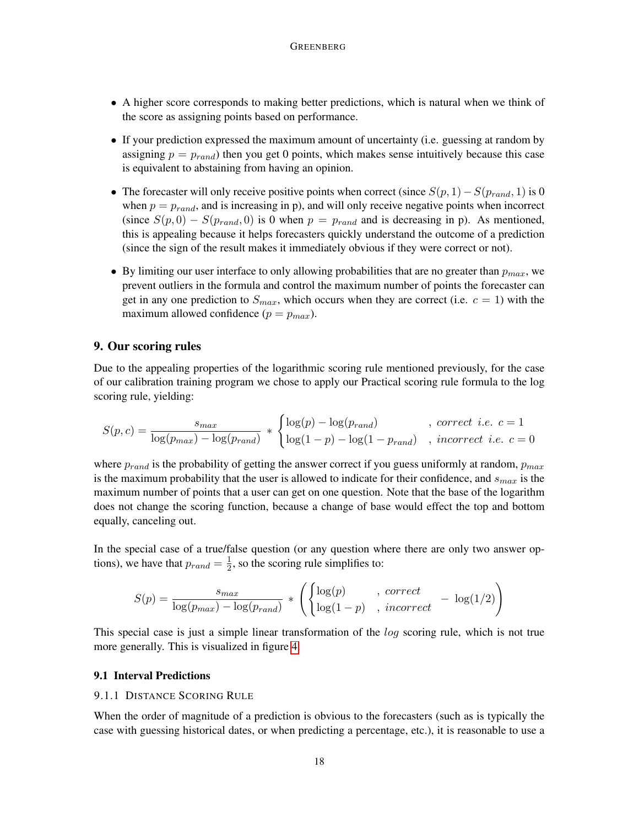- A higher score corresponds to making better predictions, which is natural when we think of the score as assigning points based on performance.
- If your prediction expressed the maximum amount of uncertainty (i.e. guessing at random by assigning  $p = p_{rand}$ ) then you get 0 points, which makes sense intuitively because this case is equivalent to abstaining from having an opinion.
- The forecaster will only receive positive points when correct (since  $S(p, 1) S(p_{rand}, 1)$  is 0 when  $p = p_{rand}$ , and is increasing in p), and will only receive negative points when incorrect (since  $S(p, 0) - S(p_{rand}, 0)$  is 0 when  $p = p_{rand}$  and is decreasing in p). As mentioned, this is appealing because it helps forecasters quickly understand the outcome of a prediction (since the sign of the result makes it immediately obvious if they were correct or not).
- By limiting our user interface to only allowing probabilities that are no greater than  $p_{max}$ , we prevent outliers in the formula and control the maximum number of points the forecaster can get in any one prediction to  $S_{max}$ , which occurs when they are correct (i.e.  $c = 1$ ) with the maximum allowed confidence  $(p = p_{max})$ .

## 9. Our scoring rules

Due to the appealing properties of the logarithmic scoring rule mentioned previously, for the case of our calibration training program we chose to apply our Practical scoring rule formula to the log scoring rule, yielding:

$$
S(p,c) = \frac{s_{max}}{\log(p_{max}) - \log(p_{rand})} * \begin{cases} \log(p) - \log(p_{rand}) & , correct \ i.e. \ c = 1 \\ \log(1-p) - \log(1-p_{rand}) & , incorrect \ i.e. \ c = 0 \end{cases}
$$

where  $p_{rand}$  is the probability of getting the answer correct if you guess uniformly at random,  $p_{max}$ is the maximum probability that the user is allowed to indicate for their confidence, and  $s_{max}$  is the maximum number of points that a user can get on one question. Note that the base of the logarithm does not change the scoring function, because a change of base would effect the top and bottom equally, canceling out.

In the special case of a true/false question (or any question where there are only two answer options), we have that  $p_{rand} = \frac{1}{2}$  $\frac{1}{2}$ , so the scoring rule simplifies to:

$$
S(p) = \frac{s_{max}}{\log(p_{max}) - \log(p_{rand})} * \left( \begin{cases} \log(p) & , \ correct \\ \log(1-p) & , \ incorrect \end{cases} - \log(1/2) \right)
$$

This special case is just a simple linear transformation of the *log* scoring rule, which is not true more generally. This is visualized in figure [4.](#page-18-0)

## 9.1 Interval Predictions

#### 9.1.1 DISTANCE SCORING RULE

When the order of magnitude of a prediction is obvious to the forecasters (such as is typically the case with guessing historical dates, or when predicting a percentage, etc.), it is reasonable to use a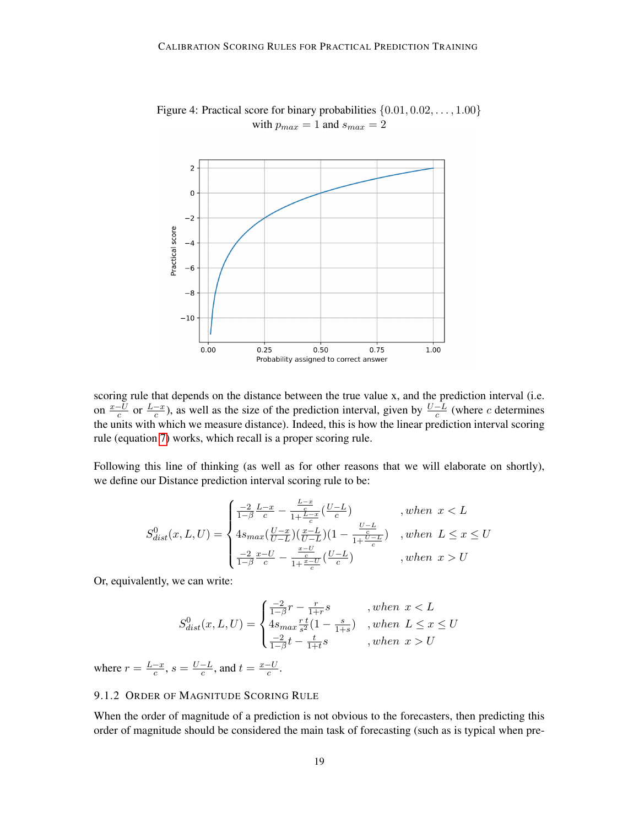

<span id="page-18-0"></span>Figure 4: Practical score for binary probabilities  $\{0.01, 0.02, \ldots, 1.00\}$ with  $p_{max} = 1$  and  $s_{max} = 2$ 

scoring rule that depends on the distance between the true value x, and the prediction interval (i.e. on  $\frac{x-U}{c}$  or  $\frac{L-x}{c}$ ), as well as the size of the prediction interval, given by  $\frac{U-L}{c}$  (where c determines the units with which we measure distance). Indeed, this is how the linear prediction interval scoring rule (equation [7\)](#page-12-0) works, which recall is a proper scoring rule.

Following this line of thinking (as well as for other reasons that we will elaborate on shortly), we define our Distance prediction interval scoring rule to be:

$$
S_{dist}^{0}(x, L, U) = \begin{cases} \frac{-2}{1-\beta} \frac{L-x}{c} - \frac{\frac{L-x}{c}}{1+\frac{L-x}{c}} (\frac{U-L}{c}) & , when \ x < L\\ 4s_{max} (\frac{U-x}{U-L}) (\frac{x-L}{U-L}) (1 - \frac{\frac{U-L}{c}}{1+\frac{U-L}{c}}) & , when \ L \leq x \leq U\\ \frac{-2}{1-\beta} \frac{x-U}{c} - \frac{\frac{x-U}{c}}{1+\frac{x-U}{c}} (\frac{U-L}{c}) & , when \ x > U \end{cases}
$$

Or, equivalently, we can write:

$$
S_{dist}^0(x, L, U) = \begin{cases} \frac{-2}{1-\beta}r - \frac{r}{1+r}s & , when \ x < L \\ 4s_{max}\frac{r}{s^2}(1 - \frac{s}{1+s}) & , when \ L \leq x \leq U \\ \frac{-2}{1-\beta}t - \frac{t}{1+t}s & , when \ x > U \end{cases}
$$

where  $r = \frac{L-x}{c}$  $\frac{-x}{c}$ ,  $s = \frac{U-L}{c}$  $\frac{-L}{c}$ , and  $t = \frac{x-U}{c}$  $\frac{-U}{c}$ .

# 9.1.2 ORDER OF MAGNITUDE SCORING RULE

When the order of magnitude of a prediction is not obvious to the forecasters, then predicting this order of magnitude should be considered the main task of forecasting (such as is typical when pre-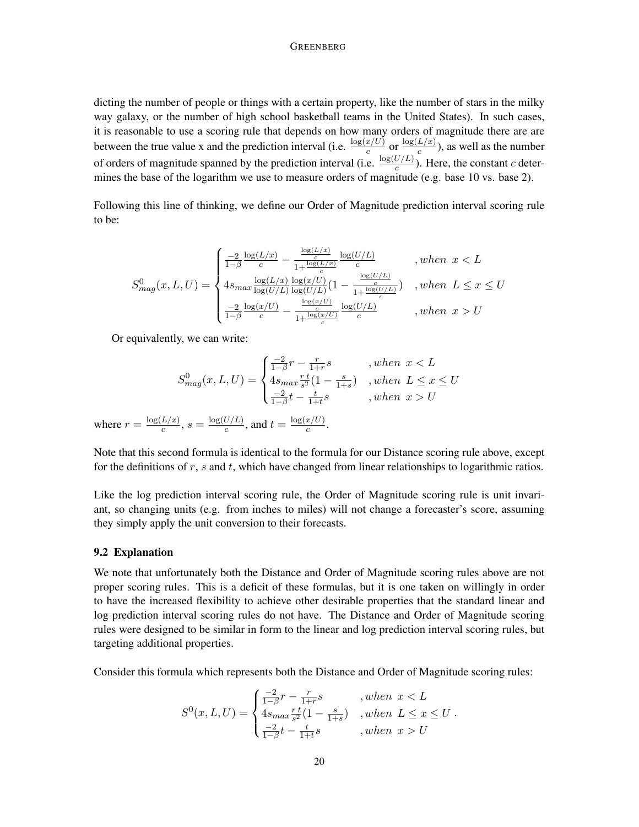#### GREENBERG

dicting the number of people or things with a certain property, like the number of stars in the milky way galaxy, or the number of high school basketball teams in the United States). In such cases, it is reasonable to use a scoring rule that depends on how many orders of magnitude there are are between the true value x and the prediction interval (i.e.  $\frac{\log(x/U)}{c}$  or  $\frac{\log(L/x)}{c}$  $\frac{L(x)}{c}$ ), as well as the number of orders of magnitude spanned by the prediction interval (i.e.  $\frac{\log(U/L)}{c}$ ). Here, the constant c determines the base of the logarithm we use to measure orders of magnitude (e.g. base 10 vs. base 2).

Following this line of thinking, we define our Order of Magnitude prediction interval scoring rule to be:

$$
S_{mag}^{0}(x, L, U) = \begin{cases} \frac{-2}{1-\beta} \frac{\log(L/x)}{c} - \frac{\frac{\log(L/x)}{c}}{1 + \frac{\log(L/x)}{c}} \frac{\log(U/L)}{c} & , when \ x < L \\ 4s_{max} \frac{\log(L/x)}{\log(U/L)} \frac{\log(x/U)}{\log(U/L)} (1 - \frac{\frac{\log(U/L)}{c}}{1 + \frac{\log(U/L)}{c}}) & , when \ L \leq x \leq U \\ \frac{-2}{1-\beta} \frac{\log(x/U)}{c} - \frac{\frac{\log(x/U)}{c}}{1 + \frac{\log(x/U)}{c}} \frac{\log(U/L)}{c} & , when \ x > U \end{cases}
$$

Or equivalently, we can write:

$$
S_{mag}^{0}(x, L, U) = \begin{cases} \frac{-2}{1-\beta}r - \frac{r}{1+r}s & , when \ x < L\\ 4s_{max}\frac{r}{s^2}(1 - \frac{s}{1+s}) & , when \ L \le x \le U\\ \frac{-2}{1-\beta}t - \frac{t}{1+t}s & , when \ x > U \end{cases}
$$
  
where  $r = \frac{\log(L/x)}{c}$ ,  $s = \frac{\log(U/L)}{c}$ , and  $t = \frac{\log(x/U)}{c}$ .

Note that this second formula is identical to the formula for our Distance scoring rule above, except for the definitions of  $r$ ,  $s$  and  $t$ , which have changed from linear relationships to logarithmic ratios.

Like the log prediction interval scoring rule, the Order of Magnitude scoring rule is unit invariant, so changing units (e.g. from inches to miles) will not change a forecaster's score, assuming they simply apply the unit conversion to their forecasts.

### 9.2 Explanation

We note that unfortunately both the Distance and Order of Magnitude scoring rules above are not proper scoring rules. This is a deficit of these formulas, but it is one taken on willingly in order to have the increased flexibility to achieve other desirable properties that the standard linear and log prediction interval scoring rules do not have. The Distance and Order of Magnitude scoring rules were designed to be similar in form to the linear and log prediction interval scoring rules, but targeting additional properties.

Consider this formula which represents both the Distance and Order of Magnitude scoring rules:

$$
S^{0}(x, L, U) = \begin{cases} \frac{-2}{1-\beta}r - \frac{r}{1+r}s & , when \ x < L \\ 4s_{max}\frac{r}{s}^{t}(1 - \frac{s}{1+s}) & , when \ L \leq x \leq U \\ \frac{-2}{1-\beta}t - \frac{t}{1+t}s & , when \ x > U \end{cases}.
$$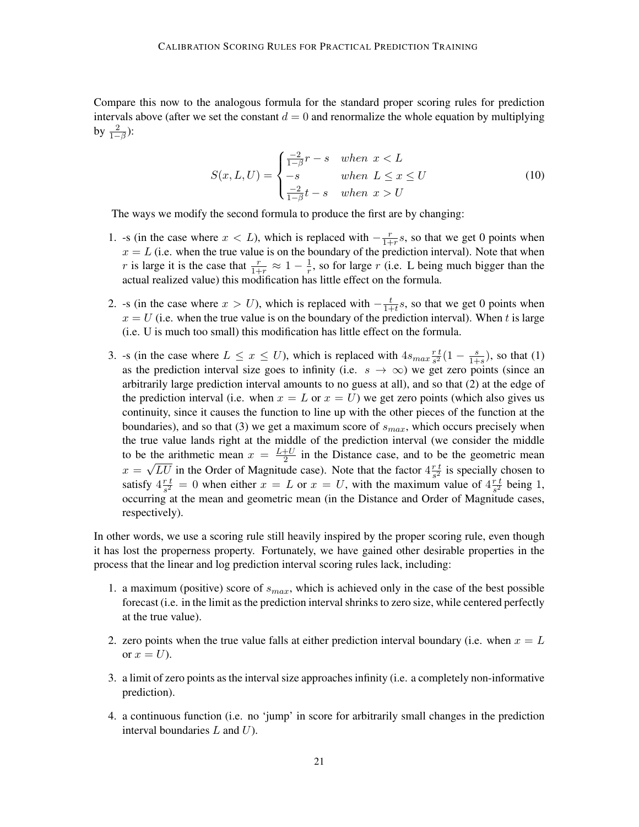Compare this now to the analogous formula for the standard proper scoring rules for prediction intervals above (after we set the constant  $d = 0$  and renormalize the whole equation by multiplying by  $\frac{2}{1-\beta}$ ):

$$
S(x, L, U) = \begin{cases} \frac{-2}{1-\beta}r - s & when \ x < L \\ -s & when \ L \le x \le U \\ \frac{-2}{1-\beta}t - s & when \ x > U \end{cases}
$$
(10)

The ways we modify the second formula to produce the first are by changing:

- 1. -s (in the case where  $x < L$ ), which is replaced with  $-\frac{r}{1+r}$  $\frac{r}{1+r}$ s, so that we get 0 points when  $x = L$  (i.e. when the true value is on the boundary of the prediction interval). Note that when r is large it is the case that  $\frac{r}{1+r} \approx 1 - \frac{1}{r}$  $\frac{1}{r}$ , so for large r (i.e. L being much bigger than the actual realized value) this modification has little effect on the formula.
- 2. -s (in the case where  $x > U$ ), which is replaced with  $-\frac{t}{1+1}$  $\frac{t}{1+t}$ s, so that we get 0 points when  $x = U$  (i.e. when the true value is on the boundary of the prediction interval). When t is large (i.e. U is much too small) this modification has little effect on the formula.
- 3. -s (in the case where  $L \leq x \leq U$ ), which is replaced with  $4s_{max}\frac{rt}{s^2}$  $\frac{r}{s^2}(1-\frac{s}{1+1})$  $\frac{s}{1+s}$ ), so that (1) as the prediction interval size goes to infinity (i.e.  $s \to \infty$ ) we get zero points (since an arbitrarily large prediction interval amounts to no guess at all), and so that (2) at the edge of the prediction interval (i.e. when  $x = L$  or  $x = U$ ) we get zero points (which also gives us continuity, since it causes the function to line up with the other pieces of the function at the boundaries), and so that (3) we get a maximum score of  $s_{max}$ , which occurs precisely when the true value lands right at the middle of the prediction interval (we consider the middle to be the arithmetic mean  $x = \frac{L+U}{2}$ the arithmetic mean  $x = \frac{L+U}{2}$  in the Distance case, and to be the geometric mean  $x = \sqrt{LU}$  in the Order of Magnitude case). Note that the factor  $4\frac{rt}{s^2}$  $\frac{r \, t}{s^2}$  is specially chosen to satisfy  $4\frac{r}{s^2}$  $\frac{r t}{s^2} = 0$  when either  $x = L$  or  $x = U$ , with the maximum value of  $4\frac{r t}{s^2}$  $\frac{r}{s^2}$  being 1, occurring at the mean and geometric mean (in the Distance and Order of Magnitude cases, respectively).

In other words, we use a scoring rule still heavily inspired by the proper scoring rule, even though it has lost the properness property. Fortunately, we have gained other desirable properties in the process that the linear and log prediction interval scoring rules lack, including:

- 1. a maximum (positive) score of  $s_{max}$ , which is achieved only in the case of the best possible forecast (i.e. in the limit as the prediction interval shrinks to zero size, while centered perfectly at the true value).
- 2. zero points when the true value falls at either prediction interval boundary (i.e. when  $x = L$ or  $x = U$ ).
- 3. a limit of zero points as the interval size approaches infinity (i.e. a completely non-informative prediction).
- 4. a continuous function (i.e. no 'jump' in score for arbitrarily small changes in the prediction interval boundaries  $L$  and  $U$ ).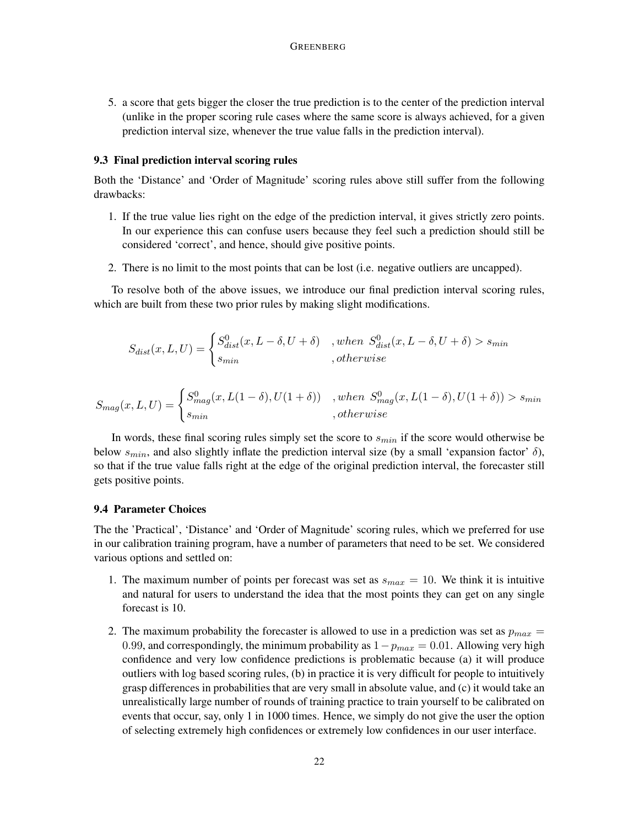5. a score that gets bigger the closer the true prediction is to the center of the prediction interval (unlike in the proper scoring rule cases where the same score is always achieved, for a given prediction interval size, whenever the true value falls in the prediction interval).

## 9.3 Final prediction interval scoring rules

Both the 'Distance' and 'Order of Magnitude' scoring rules above still suffer from the following drawbacks:

- 1. If the true value lies right on the edge of the prediction interval, it gives strictly zero points. In our experience this can confuse users because they feel such a prediction should still be considered 'correct', and hence, should give positive points.
- 2. There is no limit to the most points that can be lost (i.e. negative outliers are uncapped).

To resolve both of the above issues, we introduce our final prediction interval scoring rules, which are built from these two prior rules by making slight modifications.

$$
S_{dist}(x, L, U) = \begin{cases} S_{dist}^0(x, L - \delta, U + \delta) & , when \ S_{dist}^0(x, L - \delta, U + \delta) > s_{min} \\ s_{min} & , otherwise \end{cases}
$$

$$
S_{mag}(x, L, U) = \begin{cases} S_{mag}^0(x, L(1 - \delta), U(1 + \delta)) & , when S_{mag}^0(x, L(1 - \delta), U(1 + \delta)) > s_{min} \\ s_{min} & , otherwise \end{cases}
$$

In words, these final scoring rules simply set the score to  $s_{min}$  if the score would otherwise be below  $s_{min}$ , and also slightly inflate the prediction interval size (by a small 'expansion factor'  $\delta$ ), so that if the true value falls right at the edge of the original prediction interval, the forecaster still gets positive points.

#### 9.4 Parameter Choices

The the 'Practical', 'Distance' and 'Order of Magnitude' scoring rules, which we preferred for use in our calibration training program, have a number of parameters that need to be set. We considered various options and settled on:

- 1. The maximum number of points per forecast was set as  $s_{max} = 10$ . We think it is intuitive and natural for users to understand the idea that the most points they can get on any single forecast is 10.
- 2. The maximum probability the forecaster is allowed to use in a prediction was set as  $p_{max} =$ 0.99, and correspondingly, the minimum probability as  $1-p_{max} = 0.01$ . Allowing very high confidence and very low confidence predictions is problematic because (a) it will produce outliers with log based scoring rules, (b) in practice it is very difficult for people to intuitively grasp differences in probabilities that are very small in absolute value, and (c) it would take an unrealistically large number of rounds of training practice to train yourself to be calibrated on events that occur, say, only 1 in 1000 times. Hence, we simply do not give the user the option of selecting extremely high confidences or extremely low confidences in our user interface.